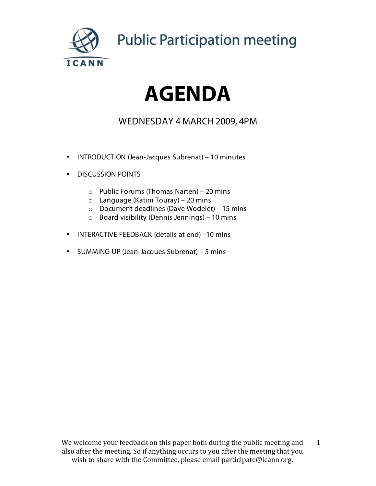

**Public Participation meeting** 

# **AGENDA**

### WEDNESDAY 4 MARCH 2009, 4PM

- INTRODUCTION (Jean-Jacques Subrenat) 10 minutes
- DISCUSSION POINTS
	- o Public Forums (Thomas Narten) 20 mins
	- $\circ$  Language (Katim Touray) 20 mins
	- o Document deadlines (Dave Wodelet) 15 mins
	- o Board visibility (Dennis Jennings) 10 mins
- INTERACTIVE FEEDBACK (details at end) –10 mins
- SUMMING UP (Jean-Jacques Subrenat) 5 mins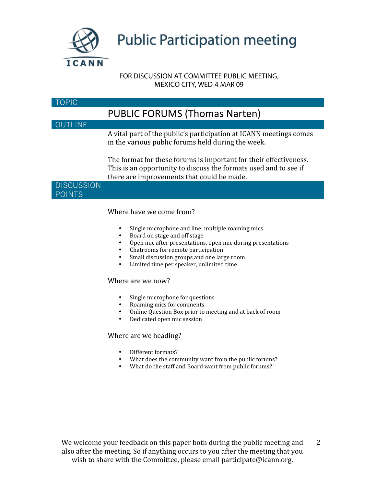

## **Public Participation meeting**

#### FOR DISCUSSION AT COMMITTEE PUBLIC MEETING, MEXICO CITY, WED 4 MAR 09

#### TOPIC

## PUBLIC
FORUMS
(Thomas
Narten)

#### OUTLINE

A vital part of the public's participation at ICANN meetings comes in
the
various
public
forums
held
during
the
week.

The format for these forums is important for their effectiveness. This is an opportunity to discuss the formats used and to see if there
are
improvements
that
could
be
made.



#### Where
have
we
come
from?

- Single microphone and line; multiple roaming mics
- Board on stage and off stage<br>• Open mic after presentations
- Open
mic
after
presentations,
open
mic
during
presentations
- Chatrooms for remote participation
- Small discussion groups and one large room
- Limited time per speaker, unlimited time

#### Where are we now?

- Single microphone for questions
- Roaming mics for comments
- Online
Question
Box
prior
to
meeting
and
at
back
of
room
- Dedicated
open
mic
session

#### Where
are
we
heading?

- Different
formats?
- What does the community want from the public forums?
- What do the staff and Board want from public forums?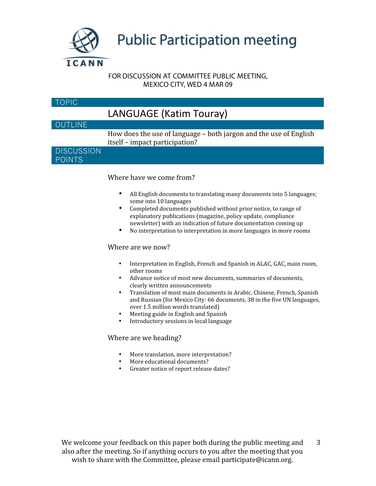

#### FOR DISCUSSION AT COMMITTEE PUBLIC MEETING, MEXICO CITY, WED 4 MAR 09

| TOPIC                              |                                                                                                     |
|------------------------------------|-----------------------------------------------------------------------------------------------------|
|                                    | LANGUAGE (Katim Touray)                                                                             |
| <b>OUTLINE</b>                     |                                                                                                     |
|                                    | How does the use of language - both jargon and the use of English<br>itself – impact participation? |
| <b>DISCUSSION</b><br><b>POINTS</b> |                                                                                                     |
|                                    | Where have we come from?                                                                            |

- All English documents to translating many documents into 5 languages; some
into
10
languages
- Completed documents published without prior notice, to range of explanatory
publications
(magazine,
policy
update,
compliance newsletter)
with
an
indication
of
future
documentation
coming
up
- No interpretation to interpretation in more languages in more rooms

#### Where are we now?

- Interpretation in English, French and Spanish in ALAC, GAC, main room, other
rooms
- Advance notice of most new documents, summaries of documents, clearly
written
announcements
- Translation of most main documents in Arabic, Chinese, French, Spanish and
Russian
(for
Mexico
City:
66
documents,
38
in
the
five
UN
languages, over
1.5
million
words
translated)
- Meeting guide in English and Spanish
- Introductory sessions in local language

#### Where
are
we
heading?

- More
translation,
more
interpretation?
- More educational documents?
- Greater
notice
of
report
release
dates?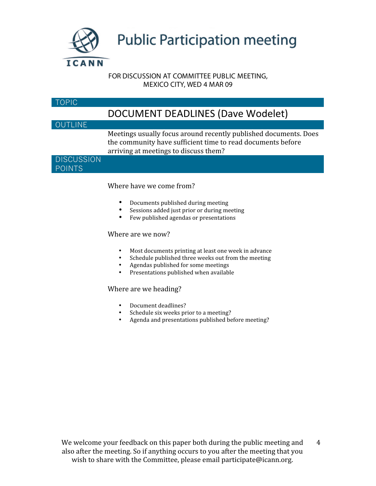

#### FOR DISCUSSION AT COMMITTEE PUBLIC MEETING, MEXICO CITY, WED 4 MAR 09

#### TOPIC

### DOCUMENT
DEADLINES
(Dave
Wodelet)

#### OUTLINE

Meetings
usually
focus
around
recently
published
documents.
Does the
community
have
sufficient
time
to
read
documents
before arriving
at
meetings
to
discuss
them?

#### **DISCUSSION** POINTS

#### Where
have
we
come
from?

- Documents
published
during
meeting
- Sessions added just prior or during meeting
- Few published agendas or presentations

#### Where are we now?

- Most
documents
printing
at
least
one
week
in
advance
- Schedule published three weeks out from the meeting
- Agendas published for some meetings<br>• Presentations published when available
- Presentations
published
when
available

#### Where
are
we
heading?

- Document
deadlines?
- Schedule six weeks prior to a meeting?
- Agenda
and
presentations
published
before
meeting?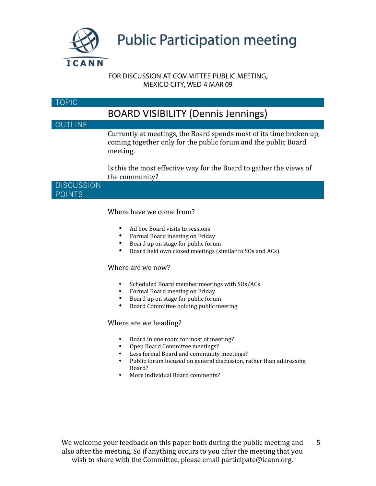

#### FOR DISCUSSION AT COMMITTEE PUBLIC MEETING, MEXICO CITY, WED 4 MAR 09

#### TOPIC

## BOARD
VISIBILITY
(Dennis
Jennings)

#### OUTLINE

Currently
at
meetings,
the
Board
spends
most
of
its
time
broken
up, coming
together
only
for
the
public
forum
and
the
public
Board meeting.

Is
this
the
most
effective
way
for
the
Board
to
gather
the
views
of the
community?

**DISCUSSION** POINTS

#### Where
have
we
come
from?

- Ad hoc Board visits to sessions<br>• Formal Board meeting on Frida
- Formal
Board
meeting
on
Friday
- Board up on stage for public forum<br>• Board held own closed meetings (si
- Board held own closed meetings (similar to SOs and ACs)

#### Where are we now?

- Scheduled
Board
member
meetings
with
SOs/ACs
- Formal
Board
meeting
on
Friday
- Board up on stage for public forum<br>• Board Committee holding public me
- Board
Committee
holding
public
meeting

#### Where
are
we
heading?

- Board in one room for most of meeting?
- Open
Board
Committee
meetings?
- Less formal Board and community meetings?<br>• Public forum focused on general discussion. r.
- Public forum focused on general discussion, rather than addressing Board?
- More individual Board comments?